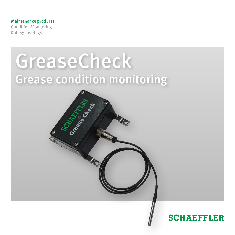#### Maintenance products

Condition Monitoring Rolling bearings



# **SCHAEFFLER**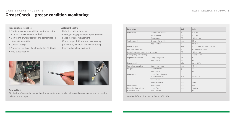## **GreaseCheck – grease condition monitoring** MAINTENANCE PRODUCTS MAINTENANCE PRODUCTS

#### **Product characteristics**

- Continuous grease condition monitoring using an optical measurement method
- Monitoring of water content and contamination with solid materials
- Compact design
- A range of interfaces (analog, digital, CAN bus)
- IP 67 classification

#### **Customer benefits**

- Optimized use of lubricant
- Bearing damage prevented by requirementbased lubricant replacement
- Monitoring of difficult-to-access bearing positions by means of online monitoring
- Increased machine availability







### **Applications**

Monitoring of grease-lubricated bearing supports in sectors including wind power, mining and processing, cellulose, and paper Detailed information can be found in TPI 234

| <b>Description</b>                    |                                           | Unit                 | Value                          |
|---------------------------------------|-------------------------------------------|----------------------|--------------------------------|
| Description                           | Grease deterioration                      | $\frac{0}{0}$        | 0 to 100                       |
|                                       | Water content                             | $\frac{1}{\sqrt{2}}$ | 0 to 100                       |
|                                       | Temperature                               | $^{\circ}$           | $-20$ to $+80$                 |
| Analog output                         | Grease deterioration                      | mA                   | 10 to 4                        |
|                                       | Water content                             | mA                   | 14 to 20                       |
| Digital output                        |                                           | VDC.                 | 0 or 24 (min. 3 to max. 150mA) |
| CAN bus connection                    |                                           |                      | via standard protocol          |
| Operating temperature range of sensor |                                           | $\circ$ C            | $-20$ to $+80$                 |
| Bearing temperature range             |                                           | $^{\circ}$ C         | $-20$ to $+100$                |
| Degree of protection                  | Complete system                           | P                    | 67                             |
|                                       | Sensor head                               | P                    | 67                             |
| Power supply                          |                                           | VDC.                 | $24 + (-20\%$                  |
| Current consumption                   | $Mean - maximum$                          | mA                   | $43 - 250$                     |
| Weight                                | Evaluation unit                           | g                    | 310                            |
|                                       | Sensor head                               | g                    | 40                             |
| Dimensions                            | Length/width/height<br>of evaluation unit | mm                   | 100/65/45                      |
|                                       | Sensor head                               |                      |                                |
|                                       | Diameter/length                           | mm                   | 5/48                           |
| Cable length                          | Sensor head                               | mm                   | 800                            |
| Mounting dimensions                   | Length/width                              | mm                   | 90/110                         |
| Evaluation unit                       | bore diameter                             |                      | M4                             |